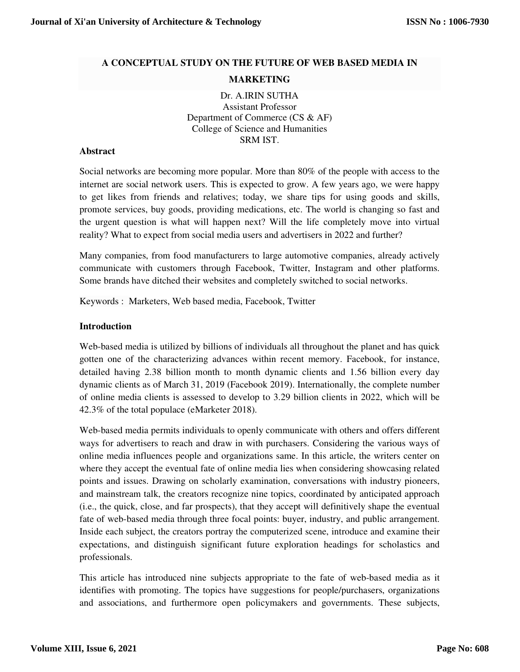# **A CONCEPTUAL STUDY ON THE FUTURE OF WEB BASED MEDIA IN**

## **MARKETING**

Dr. A.IRIN SUTHA Assistant Professor Department of Commerce (CS & AF) College of Science and Humanities SRM IST.

#### **Abstract**

Social networks are becoming more popular. More than 80% of the people with access to the internet are social network users. This is expected to grow. A few years ago, we were happy to get likes from friends and relatives; today, we share tips for using goods and skills, promote services, buy goods, providing medications, etc. The world is changing so fast and the urgent question is what will happen next? Will the life completely move into virtual reality? What to expect from social media users and advertisers in 2022 and further?

Many companies, from food manufacturers to large automotive companies, already actively communicate with customers through Facebook, Twitter, Instagram and other platforms. Some brands have ditched their websites and completely switched to social networks.

Keywords : Marketers, Web based media, Facebook, Twitter

#### **Introduction**

Web-based media is utilized by billions of individuals all throughout the planet and has quick gotten one of the characterizing advances within recent memory. Facebook, for instance, detailed having 2.38 billion month to month dynamic clients and 1.56 billion every day dynamic clients as of March 31, 2019 (Facebook 2019). Internationally, the complete number of online media clients is assessed to develop to 3.29 billion clients in 2022, which will be 42.3% of the total populace (eMarketer 2018).

Web-based media permits individuals to openly communicate with others and offers different ways for advertisers to reach and draw in with purchasers. Considering the various ways of online media influences people and organizations same. In this article, the writers center on where they accept the eventual fate of online media lies when considering showcasing related points and issues. Drawing on scholarly examination, conversations with industry pioneers, and mainstream talk, the creators recognize nine topics, coordinated by anticipated approach (i.e., the quick, close, and far prospects), that they accept will definitively shape the eventual fate of web-based media through three focal points: buyer, industry, and public arrangement. Inside each subject, the creators portray the computerized scene, introduce and examine their expectations, and distinguish significant future exploration headings for scholastics and professionals.

This article has introduced nine subjects appropriate to the fate of web-based media as it identifies with promoting. The topics have suggestions for people/purchasers, organizations and associations, and furthermore open policymakers and governments. These subjects,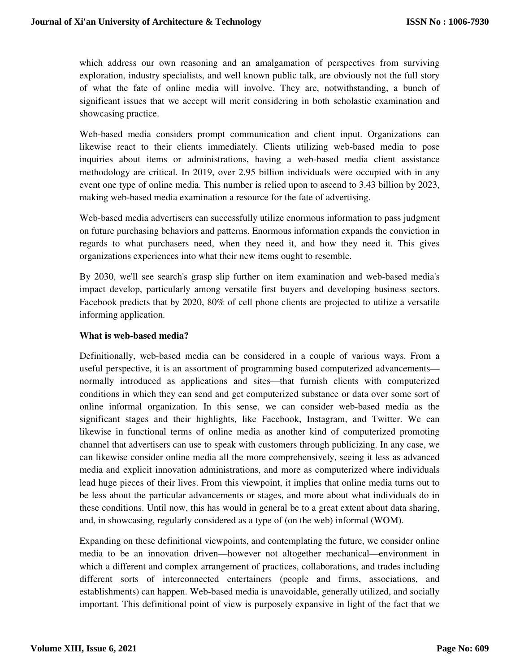which address our own reasoning and an amalgamation of perspectives from surviving exploration, industry specialists, and well known public talk, are obviously not the full story of what the fate of online media will involve. They are, notwithstanding, a bunch of significant issues that we accept will merit considering in both scholastic examination and showcasing practice.

Web-based media considers prompt communication and client input. Organizations can likewise react to their clients immediately. Clients utilizing web-based media to pose inquiries about items or administrations, having a web-based media client assistance methodology are critical. In 2019, over 2.95 billion individuals were occupied with in any event one type of online media. This number is relied upon to ascend to 3.43 billion by 2023, making web-based media examination a resource for the fate of advertising.

Web-based media advertisers can successfully utilize enormous information to pass judgment on future purchasing behaviors and patterns. Enormous information expands the conviction in regards to what purchasers need, when they need it, and how they need it. This gives organizations experiences into what their new items ought to resemble.

By 2030, we'll see search's grasp slip further on item examination and web-based media's impact develop, particularly among versatile first buyers and developing business sectors. Facebook predicts that by 2020, 80% of cell phone clients are projected to utilize a versatile informing application.

## **What is web-based media?**

Definitionally, web-based media can be considered in a couple of various ways. From a useful perspective, it is an assortment of programming based computerized advancements normally introduced as applications and sites—that furnish clients with computerized conditions in which they can send and get computerized substance or data over some sort of online informal organization. In this sense, we can consider web-based media as the significant stages and their highlights, like Facebook, Instagram, and Twitter. We can likewise in functional terms of online media as another kind of computerized promoting channel that advertisers can use to speak with customers through publicizing. In any case, we can likewise consider online media all the more comprehensively, seeing it less as advanced media and explicit innovation administrations, and more as computerized where individuals lead huge pieces of their lives. From this viewpoint, it implies that online media turns out to be less about the particular advancements or stages, and more about what individuals do in these conditions. Until now, this has would in general be to a great extent about data sharing, and, in showcasing, regularly considered as a type of (on the web) informal (WOM).

Expanding on these definitional viewpoints, and contemplating the future, we consider online media to be an innovation driven—however not altogether mechanical—environment in which a different and complex arrangement of practices, collaborations, and trades including different sorts of interconnected entertainers (people and firms, associations, and establishments) can happen. Web-based media is unavoidable, generally utilized, and socially important. This definitional point of view is purposely expansive in light of the fact that we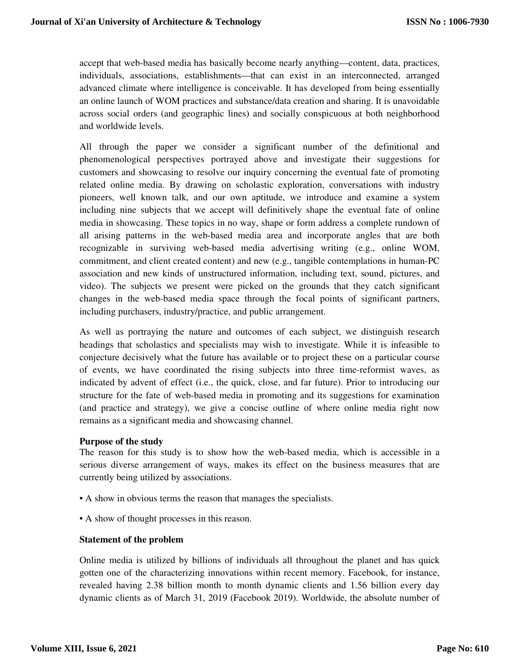accept that web-based media has basically become nearly anything—content, data, practices, individuals, associations, establishments—that can exist in an interconnected, arranged advanced climate where intelligence is conceivable. It has developed from being essentially an online launch of WOM practices and substance/data creation and sharing. It is unavoidable across social orders (and geographic lines) and socially conspicuous at both neighborhood and worldwide levels.

All through the paper we consider a significant number of the definitional and phenomenological perspectives portrayed above and investigate their suggestions for customers and showcasing to resolve our inquiry concerning the eventual fate of promoting related online media. By drawing on scholastic exploration, conversations with industry pioneers, well known talk, and our own aptitude, we introduce and examine a system including nine subjects that we accept will definitively shape the eventual fate of online media in showcasing. These topics in no way, shape or form address a complete rundown of all arising patterns in the web-based media area and incorporate angles that are both recognizable in surviving web-based media advertising writing (e.g., online WOM, commitment, and client created content) and new (e.g., tangible contemplations in human-PC association and new kinds of unstructured information, including text, sound, pictures, and video). The subjects we present were picked on the grounds that they catch significant changes in the web-based media space through the focal points of significant partners, including purchasers, industry/practice, and public arrangement.

As well as portraying the nature and outcomes of each subject, we distinguish research headings that scholastics and specialists may wish to investigate. While it is infeasible to conjecture decisively what the future has available or to project these on a particular course of events, we have coordinated the rising subjects into three time-reformist waves, as indicated by advent of effect (i.e., the quick, close, and far future). Prior to introducing our structure for the fate of web-based media in promoting and its suggestions for examination (and practice and strategy), we give a concise outline of where online media right now remains as a significant media and showcasing channel.

### **Purpose of the study**

The reason for this study is to show how the web-based media, which is accessible in a serious diverse arrangement of ways, makes its effect on the business measures that are currently being utilized by associations.

- A show in obvious terms the reason that manages the specialists.
- A show of thought processes in this reason.

#### **Statement of the problem**

Online media is utilized by billions of individuals all throughout the planet and has quick gotten one of the characterizing innovations within recent memory. Facebook, for instance, revealed having 2.38 billion month to month dynamic clients and 1.56 billion every day dynamic clients as of March 31, 2019 (Facebook 2019). Worldwide, the absolute number of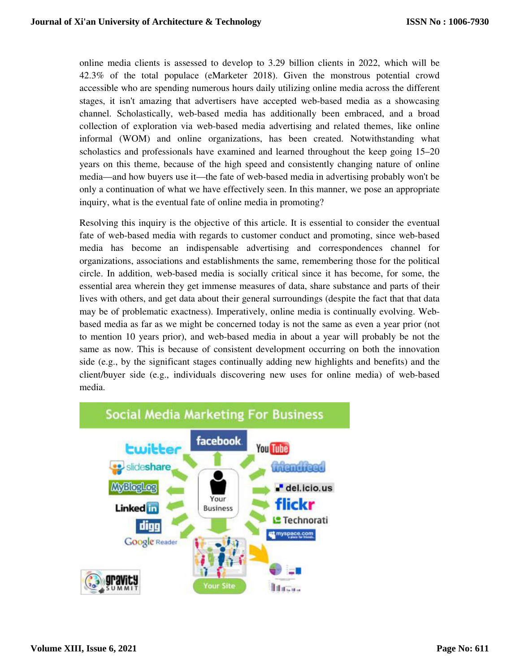online media clients is assessed to develop to 3.29 billion clients in 2022, which will be 42.3% of the total populace (eMarketer 2018). Given the monstrous potential crowd accessible who are spending numerous hours daily utilizing online media across the different stages, it isn't amazing that advertisers have accepted web-based media as a showcasing channel. Scholastically, web-based media has additionally been embraced, and a broad collection of exploration via web-based media advertising and related themes, like online informal (WOM) and online organizations, has been created. Notwithstanding what scholastics and professionals have examined and learned throughout the keep going 15–20 years on this theme, because of the high speed and consistently changing nature of online media—and how buyers use it—the fate of web-based media in advertising probably won't be only a continuation of what we have effectively seen. In this manner, we pose an appropriate inquiry, what is the eventual fate of online media in promoting?

Resolving this inquiry is the objective of this article. It is essential to consider the eventual fate of web-based media with regards to customer conduct and promoting, since web-based media has become an indispensable advertising and correspondences channel for organizations, associations and establishments the same, remembering those for the political circle. In addition, web-based media is socially critical since it has become, for some, the essential area wherein they get immense measures of data, share substance and parts of their lives with others, and get data about their general surroundings (despite the fact that that data may be of problematic exactness). Imperatively, online media is continually evolving. Webbased media as far as we might be concerned today is not the same as even a year prior (not to mention 10 years prior), and web-based media in about a year will probably be not the same as now. This is because of consistent development occurring on both the innovation side (e.g., by the significant stages continually adding new highlights and benefits) and the client/buyer side (e.g., individuals discovering new uses for online media) of web-based media.

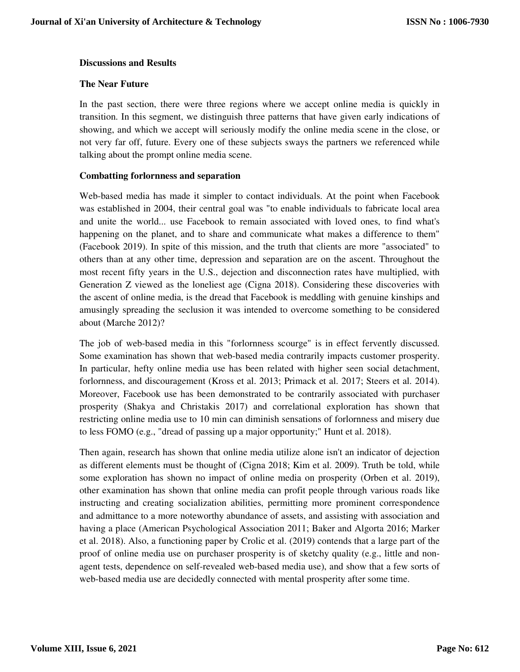## **Discussions and Results**

## **The Near Future**

In the past section, there were three regions where we accept online media is quickly in transition. In this segment, we distinguish three patterns that have given early indications of showing, and which we accept will seriously modify the online media scene in the close, or not very far off, future. Every one of these subjects sways the partners we referenced while talking about the prompt online media scene.

## **Combatting forlornness and separation**

Web-based media has made it simpler to contact individuals. At the point when Facebook was established in 2004, their central goal was "to enable individuals to fabricate local area and unite the world... use Facebook to remain associated with loved ones, to find what's happening on the planet, and to share and communicate what makes a difference to them" (Facebook 2019). In spite of this mission, and the truth that clients are more "associated" to others than at any other time, depression and separation are on the ascent. Throughout the most recent fifty years in the U.S., dejection and disconnection rates have multiplied, with Generation Z viewed as the loneliest age (Cigna 2018). Considering these discoveries with the ascent of online media, is the dread that Facebook is meddling with genuine kinships and amusingly spreading the seclusion it was intended to overcome something to be considered about (Marche 2012)?

The job of web-based media in this "forlornness scourge" is in effect fervently discussed. Some examination has shown that web-based media contrarily impacts customer prosperity. In particular, hefty online media use has been related with higher seen social detachment, forlornness, and discouragement (Kross et al. 2013; Primack et al. 2017; Steers et al. 2014). Moreover, Facebook use has been demonstrated to be contrarily associated with purchaser prosperity (Shakya and Christakis 2017) and correlational exploration has shown that restricting online media use to 10 min can diminish sensations of forlornness and misery due to less FOMO (e.g., "dread of passing up a major opportunity;" Hunt et al. 2018).

Then again, research has shown that online media utilize alone isn't an indicator of dejection as different elements must be thought of (Cigna 2018; Kim et al. 2009). Truth be told, while some exploration has shown no impact of online media on prosperity (Orben et al. 2019), other examination has shown that online media can profit people through various roads like instructing and creating socialization abilities, permitting more prominent correspondence and admittance to a more noteworthy abundance of assets, and assisting with association and having a place (American Psychological Association 2011; Baker and Algorta 2016; Marker et al. 2018). Also, a functioning paper by Crolic et al. (2019) contends that a large part of the proof of online media use on purchaser prosperity is of sketchy quality (e.g., little and nonagent tests, dependence on self-revealed web-based media use), and show that a few sorts of web-based media use are decidedly connected with mental prosperity after some time.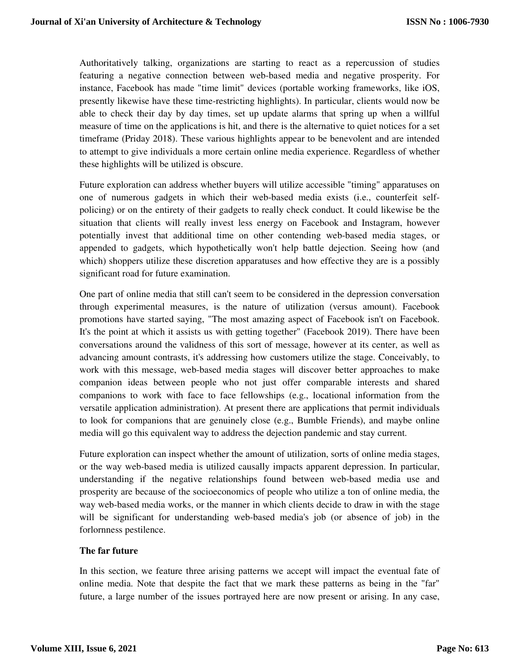Authoritatively talking, organizations are starting to react as a repercussion of studies featuring a negative connection between web-based media and negative prosperity. For instance, Facebook has made "time limit" devices (portable working frameworks, like iOS, presently likewise have these time-restricting highlights). In particular, clients would now be able to check their day by day times, set up update alarms that spring up when a willful measure of time on the applications is hit, and there is the alternative to quiet notices for a set timeframe (Priday 2018). These various highlights appear to be benevolent and are intended to attempt to give individuals a more certain online media experience. Regardless of whether these highlights will be utilized is obscure.

Future exploration can address whether buyers will utilize accessible "timing" apparatuses on one of numerous gadgets in which their web-based media exists (i.e., counterfeit selfpolicing) or on the entirety of their gadgets to really check conduct. It could likewise be the situation that clients will really invest less energy on Facebook and Instagram, however potentially invest that additional time on other contending web-based media stages, or appended to gadgets, which hypothetically won't help battle dejection. Seeing how (and which) shoppers utilize these discretion apparatuses and how effective they are is a possibly significant road for future examination.

One part of online media that still can't seem to be considered in the depression conversation through experimental measures, is the nature of utilization (versus amount). Facebook promotions have started saying, "The most amazing aspect of Facebook isn't on Facebook. It's the point at which it assists us with getting together" (Facebook 2019). There have been conversations around the validness of this sort of message, however at its center, as well as advancing amount contrasts, it's addressing how customers utilize the stage. Conceivably, to work with this message, web-based media stages will discover better approaches to make companion ideas between people who not just offer comparable interests and shared companions to work with face to face fellowships (e.g., locational information from the versatile application administration). At present there are applications that permit individuals to look for companions that are genuinely close (e.g., Bumble Friends), and maybe online media will go this equivalent way to address the dejection pandemic and stay current.

Future exploration can inspect whether the amount of utilization, sorts of online media stages, or the way web-based media is utilized causally impacts apparent depression. In particular, understanding if the negative relationships found between web-based media use and prosperity are because of the socioeconomics of people who utilize a ton of online media, the way web-based media works, or the manner in which clients decide to draw in with the stage will be significant for understanding web-based media's job (or absence of job) in the forlornness pestilence.

### **The far future**

In this section, we feature three arising patterns we accept will impact the eventual fate of online media. Note that despite the fact that we mark these patterns as being in the "far" future, a large number of the issues portrayed here are now present or arising. In any case,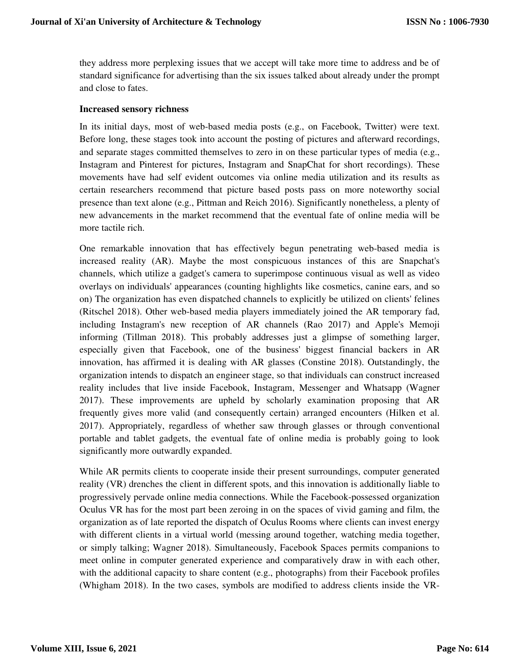they address more perplexing issues that we accept will take more time to address and be of standard significance for advertising than the six issues talked about already under the prompt and close to fates.

#### **Increased sensory richness**

In its initial days, most of web-based media posts (e.g., on Facebook, Twitter) were text. Before long, these stages took into account the posting of pictures and afterward recordings, and separate stages committed themselves to zero in on these particular types of media (e.g., Instagram and Pinterest for pictures, Instagram and SnapChat for short recordings). These movements have had self evident outcomes via online media utilization and its results as certain researchers recommend that picture based posts pass on more noteworthy social presence than text alone (e.g., Pittman and Reich 2016). Significantly nonetheless, a plenty of new advancements in the market recommend that the eventual fate of online media will be more tactile rich.

One remarkable innovation that has effectively begun penetrating web-based media is increased reality (AR). Maybe the most conspicuous instances of this are Snapchat's channels, which utilize a gadget's camera to superimpose continuous visual as well as video overlays on individuals' appearances (counting highlights like cosmetics, canine ears, and so on) The organization has even dispatched channels to explicitly be utilized on clients' felines (Ritschel 2018). Other web-based media players immediately joined the AR temporary fad, including Instagram's new reception of AR channels (Rao 2017) and Apple's Memoji informing (Tillman 2018). This probably addresses just a glimpse of something larger, especially given that Facebook, one of the business' biggest financial backers in AR innovation, has affirmed it is dealing with AR glasses (Constine 2018). Outstandingly, the organization intends to dispatch an engineer stage, so that individuals can construct increased reality includes that live inside Facebook, Instagram, Messenger and Whatsapp (Wagner 2017). These improvements are upheld by scholarly examination proposing that AR frequently gives more valid (and consequently certain) arranged encounters (Hilken et al. 2017). Appropriately, regardless of whether saw through glasses or through conventional portable and tablet gadgets, the eventual fate of online media is probably going to look significantly more outwardly expanded.

While AR permits clients to cooperate inside their present surroundings, computer generated reality (VR) drenches the client in different spots, and this innovation is additionally liable to progressively pervade online media connections. While the Facebook-possessed organization Oculus VR has for the most part been zeroing in on the spaces of vivid gaming and film, the organization as of late reported the dispatch of Oculus Rooms where clients can invest energy with different clients in a virtual world (messing around together, watching media together, or simply talking; Wagner 2018). Simultaneously, Facebook Spaces permits companions to meet online in computer generated experience and comparatively draw in with each other, with the additional capacity to share content (e.g., photographs) from their Facebook profiles (Whigham 2018). In the two cases, symbols are modified to address clients inside the VR-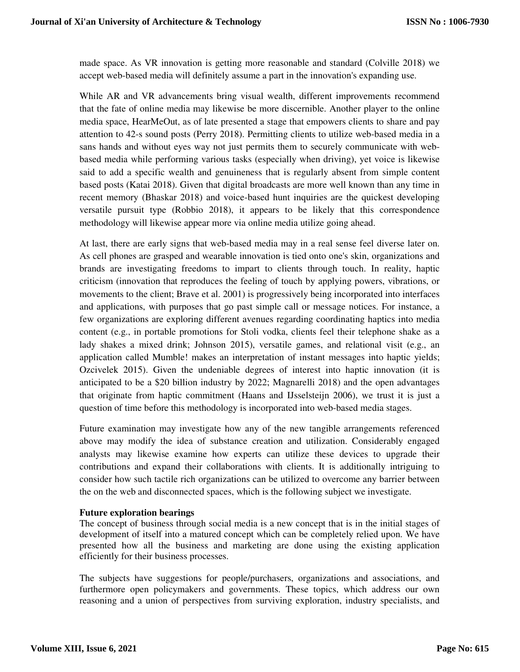made space. As VR innovation is getting more reasonable and standard (Colville 2018) we accept web-based media will definitely assume a part in the innovation's expanding use.

While AR and VR advancements bring visual wealth, different improvements recommend that the fate of online media may likewise be more discernible. Another player to the online media space, HearMeOut, as of late presented a stage that empowers clients to share and pay attention to 42-s sound posts (Perry 2018). Permitting clients to utilize web-based media in a sans hands and without eyes way not just permits them to securely communicate with webbased media while performing various tasks (especially when driving), yet voice is likewise said to add a specific wealth and genuineness that is regularly absent from simple content based posts (Katai 2018). Given that digital broadcasts are more well known than any time in recent memory (Bhaskar 2018) and voice-based hunt inquiries are the quickest developing versatile pursuit type (Robbio 2018), it appears to be likely that this correspondence methodology will likewise appear more via online media utilize going ahead.

At last, there are early signs that web-based media may in a real sense feel diverse later on. As cell phones are grasped and wearable innovation is tied onto one's skin, organizations and brands are investigating freedoms to impart to clients through touch. In reality, haptic criticism (innovation that reproduces the feeling of touch by applying powers, vibrations, or movements to the client; Brave et al. 2001) is progressively being incorporated into interfaces and applications, with purposes that go past simple call or message notices. For instance, a few organizations are exploring different avenues regarding coordinating haptics into media content (e.g., in portable promotions for Stoli vodka, clients feel their telephone shake as a lady shakes a mixed drink; Johnson 2015), versatile games, and relational visit (e.g., an application called Mumble! makes an interpretation of instant messages into haptic yields; Ozcivelek 2015). Given the undeniable degrees of interest into haptic innovation (it is anticipated to be a \$20 billion industry by 2022; Magnarelli 2018) and the open advantages that originate from haptic commitment (Haans and IJsselsteijn 2006), we trust it is just a question of time before this methodology is incorporated into web-based media stages.

Future examination may investigate how any of the new tangible arrangements referenced above may modify the idea of substance creation and utilization. Considerably engaged analysts may likewise examine how experts can utilize these devices to upgrade their contributions and expand their collaborations with clients. It is additionally intriguing to consider how such tactile rich organizations can be utilized to overcome any barrier between the on the web and disconnected spaces, which is the following subject we investigate.

### **Future exploration bearings**

The concept of business through social media is a new concept that is in the initial stages of development of itself into a matured concept which can be completely relied upon. We have presented how all the business and marketing are done using the existing application efficiently for their business processes.

The subjects have suggestions for people/purchasers, organizations and associations, and furthermore open policymakers and governments. These topics, which address our own reasoning and a union of perspectives from surviving exploration, industry specialists, and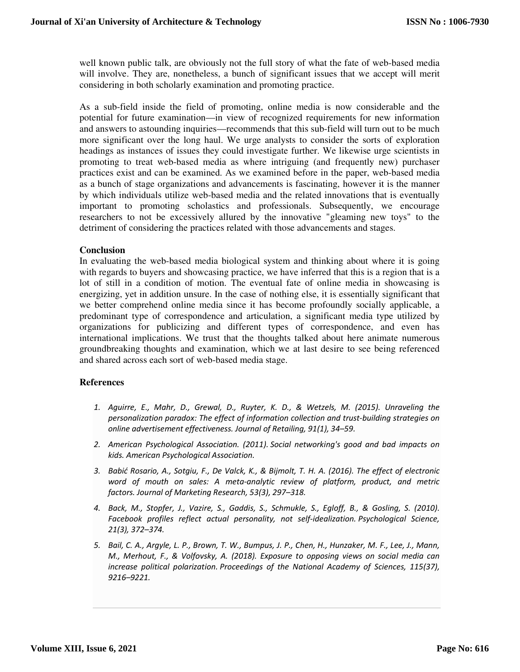well known public talk, are obviously not the full story of what the fate of web-based media will involve. They are, nonetheless, a bunch of significant issues that we accept will merit considering in both scholarly examination and promoting practice.

As a sub-field inside the field of promoting, online media is now considerable and the potential for future examination—in view of recognized requirements for new information and answers to astounding inquiries—recommends that this sub-field will turn out to be much more significant over the long haul. We urge analysts to consider the sorts of exploration headings as instances of issues they could investigate further. We likewise urge scientists in promoting to treat web-based media as where intriguing (and frequently new) purchaser practices exist and can be examined. As we examined before in the paper, web-based media as a bunch of stage organizations and advancements is fascinating, however it is the manner by which individuals utilize web-based media and the related innovations that is eventually important to promoting scholastics and professionals. Subsequently, we encourage researchers to not be excessively allured by the innovative "gleaming new toys" to the detriment of considering the practices related with those advancements and stages.

#### **Conclusion**

In evaluating the web-based media biological system and thinking about where it is going with regards to buyers and showcasing practice, we have inferred that this is a region that is a lot of still in a condition of motion. The eventual fate of online media in showcasing is energizing, yet in addition unsure. In the case of nothing else, it is essentially significant that we better comprehend online media since it has become profoundly socially applicable, a predominant type of correspondence and articulation, a significant media type utilized by organizations for publicizing and different types of correspondence, and even has international implications. We trust that the thoughts talked about here animate numerous groundbreaking thoughts and examination, which we at last desire to see being referenced and shared across each sort of web-based media stage.

### **References**

- *1. Aguirre, E., Mahr, D., Grewal, D., Ruyter, K. D., & Wetzels, M. (2015). Unraveling the personalization paradox: The effect of information collection and trust-building strategies on online advertisement effectiveness. Journal of Retailing, 91(1), 34–59.*
- *2. American Psychological Association. (2011). Social networking's good and bad impacts on kids. American Psychological Association.*
- *3. Babić Rosario, A., Sotgiu, F., De Valck, K., & Bijmolt, T. H. A. (2016). The effect of electronic word of mouth on sales: A meta-analytic review of platform, product, and metric factors. Journal of Marketing Research, 53(3), 297–318.*
- *4. Back, M., Stopfer, J., Vazire, S., Gaddis, S., Schmukle, S., Egloff, B., & Gosling, S. (2010). Facebook profiles reflect actual personality, not self-idealization. Psychological Science, 21(3), 372–374.*
- *5. Bail, C. A., Argyle, L. P., Brown, T. W., Bumpus, J. P., Chen, H., Hunzaker, M. F., Lee, J., Mann, M., Merhout, F., & Volfovsky, A. (2018). Exposure to opposing views on social media can increase political polarization. Proceedings of the National Academy of Sciences, 115(37), 9216–9221.*